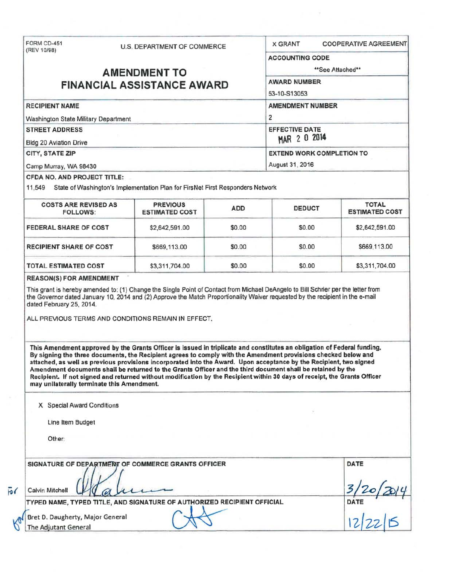| FORM CD-451<br>(REV 10/98)                                                                     |  | <b>U.S. DEPARTMENT OF COMMERCE</b>                                                                                                                                                                                                                                                                                                                                                                                                                                                                                                                                                                          |                         | <b>COOPERATIVE AGREEMENT</b><br><b>X GRANT</b> |                                       |  |                        |  |  |  |                                  |  |  |
|------------------------------------------------------------------------------------------------|--|-------------------------------------------------------------------------------------------------------------------------------------------------------------------------------------------------------------------------------------------------------------------------------------------------------------------------------------------------------------------------------------------------------------------------------------------------------------------------------------------------------------------------------------------------------------------------------------------------------------|-------------------------|------------------------------------------------|---------------------------------------|--|------------------------|--|--|--|----------------------------------|--|--|
|                                                                                                |  |                                                                                                                                                                                                                                                                                                                                                                                                                                                                                                                                                                                                             |                         | <b>ACCOUNTING CODE</b>                         |                                       |  |                        |  |  |  |                                  |  |  |
| <b>AMENDMENT TO</b>                                                                            |  |                                                                                                                                                                                                                                                                                                                                                                                                                                                                                                                                                                                                             |                         | **See Attached**                               |                                       |  |                        |  |  |  |                                  |  |  |
|                                                                                                |  |                                                                                                                                                                                                                                                                                                                                                                                                                                                                                                                                                                                                             |                         | <b>AWARD NUMBER</b>                            |                                       |  |                        |  |  |  |                                  |  |  |
| <b>FINANCIAL ASSISTANCE AWARD</b>                                                              |  |                                                                                                                                                                                                                                                                                                                                                                                                                                                                                                                                                                                                             |                         | 53-10-S13053                                   |                                       |  |                        |  |  |  |                                  |  |  |
| <b>RECIPIENT NAME</b>                                                                          |  |                                                                                                                                                                                                                                                                                                                                                                                                                                                                                                                                                                                                             | <b>AMENDMENT NUMBER</b> |                                                |                                       |  |                        |  |  |  |                                  |  |  |
| Washington State Military Department<br><b>STREET ADDRESS</b><br><b>Bldg 20 Aviation Drive</b> |  |                                                                                                                                                                                                                                                                                                                                                                                                                                                                                                                                                                                                             |                         | 2<br><b>EFFECTIVE DATE</b><br>MAR 2 0 2014     |                                       |  |                        |  |  |  |                                  |  |  |
|                                                                                                |  |                                                                                                                                                                                                                                                                                                                                                                                                                                                                                                                                                                                                             |                         |                                                |                                       |  | <b>CITY, STATE ZIP</b> |  |  |  | <b>EXTEND WORK COMPLETION TO</b> |  |  |
|                                                                                                |  |                                                                                                                                                                                                                                                                                                                                                                                                                                                                                                                                                                                                             |                         |                                                |                                       |  | Camp Murray, WA 98430  |  |  |  | August 31, 2016                  |  |  |
| <b>CFDA NO. AND PROJECT TITLE:</b>                                                             |  |                                                                                                                                                                                                                                                                                                                                                                                                                                                                                                                                                                                                             |                         |                                                |                                       |  |                        |  |  |  |                                  |  |  |
|                                                                                                |  | 11,549 State of Washington's Implementation Plan for FirsNet First Responders Network                                                                                                                                                                                                                                                                                                                                                                                                                                                                                                                       |                         |                                                |                                       |  |                        |  |  |  |                                  |  |  |
| <b>COSTS ARE REVISED AS</b><br><b>FOLLOWS:</b>                                                 |  | <b>PREVIOUS</b><br><b>ESTIMATED COST</b>                                                                                                                                                                                                                                                                                                                                                                                                                                                                                                                                                                    | <b>ADD</b>              | <b>DEDUCT</b>                                  | <b>TOTAL</b><br><b>ESTIMATED COST</b> |  |                        |  |  |  |                                  |  |  |
| <b>FEDERAL SHARE OF COST</b>                                                                   |  | \$2,642,591.00                                                                                                                                                                                                                                                                                                                                                                                                                                                                                                                                                                                              | \$0.00                  | \$0.00                                         | \$2,642,591.00                        |  |                        |  |  |  |                                  |  |  |
| <b>RECIPIENT SHARE OF COST</b>                                                                 |  | \$669,113.00                                                                                                                                                                                                                                                                                                                                                                                                                                                                                                                                                                                                | \$0.00                  | \$0.00                                         | \$669,113.00                          |  |                        |  |  |  |                                  |  |  |
| <b>TOTAL ESTIMATED COST</b>                                                                    |  | \$3,311,704.00                                                                                                                                                                                                                                                                                                                                                                                                                                                                                                                                                                                              | \$0.00                  | \$0.00                                         | \$3,311,704.00                        |  |                        |  |  |  |                                  |  |  |
|                                                                                                |  | ALL PREVIOUS TERMS AND CONDITIONS REMAIN IN EFFECT.                                                                                                                                                                                                                                                                                                                                                                                                                                                                                                                                                         |                         |                                                |                                       |  |                        |  |  |  |                                  |  |  |
| may unilaterally terminate this Amendment.                                                     |  | This Amendment approved by the Grants Officer is issued in triplicate and constitutes an obligation of Federal funding.<br>By signing the three documents, the Recipient agrees to comply with the Amendment provisions checked below and<br>attached, as well as previous provisions incorporated into the Award. Upon acceptance by the Recipient, two signed<br>Amendment documents shall be returned to the Grants Officer and the third document shall be retained by the<br>Recipient. If not signed and returned without modification by the Recipient within 30 days of receipt, the Grants Officer |                         |                                                |                                       |  |                        |  |  |  |                                  |  |  |
| X Special Award Conditions                                                                     |  |                                                                                                                                                                                                                                                                                                                                                                                                                                                                                                                                                                                                             |                         |                                                |                                       |  |                        |  |  |  |                                  |  |  |
| Line Item Budget                                                                               |  |                                                                                                                                                                                                                                                                                                                                                                                                                                                                                                                                                                                                             |                         |                                                |                                       |  |                        |  |  |  |                                  |  |  |
| Other:                                                                                         |  |                                                                                                                                                                                                                                                                                                                                                                                                                                                                                                                                                                                                             |                         |                                                |                                       |  |                        |  |  |  |                                  |  |  |
|                                                                                                |  | SIGNATURE OF DEPARTMENT OF COMMERCE GRANTS OFFICER                                                                                                                                                                                                                                                                                                                                                                                                                                                                                                                                                          |                         |                                                | DATE                                  |  |                        |  |  |  |                                  |  |  |
|                                                                                                |  |                                                                                                                                                                                                                                                                                                                                                                                                                                                                                                                                                                                                             |                         |                                                |                                       |  |                        |  |  |  |                                  |  |  |
| Calvin Mitchell                                                                                |  |                                                                                                                                                                                                                                                                                                                                                                                                                                                                                                                                                                                                             |                         |                                                |                                       |  |                        |  |  |  |                                  |  |  |
|                                                                                                |  | TYPED NAME, TYPED TITLE, AND SIGNATURE OF AUTHORIZED RECIPIENT OFFICIAL                                                                                                                                                                                                                                                                                                                                                                                                                                                                                                                                     |                         |                                                |                                       |  |                        |  |  |  |                                  |  |  |
| Bret D. Daugherty, Major General<br>The Adjutant General                                       |  |                                                                                                                                                                                                                                                                                                                                                                                                                                                                                                                                                                                                             |                         |                                                | DATE $ 2 22 4$                        |  |                        |  |  |  |                                  |  |  |

*<sup>1</sup>'0 (*